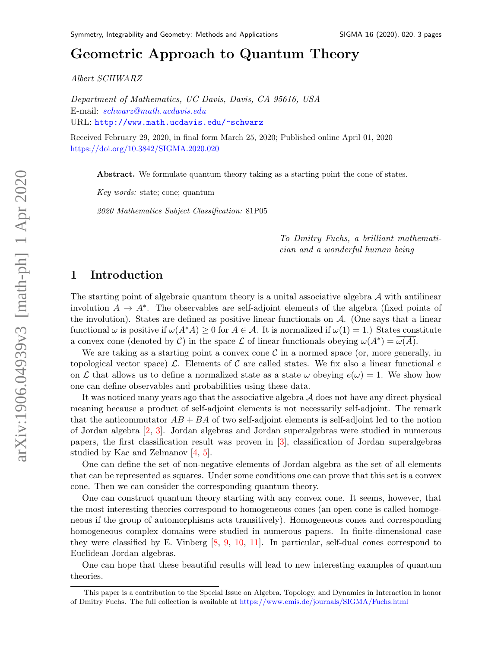# Geometric Approach to Quantum Theor[y](#page-0-0)

Albert SCHWARZ

Department of Mathematics, UC Davis, Davis, CA 95616, USA E-mail: [schwarz@math.ucdavis.edu](mailto:schwarz@math.ucdavis.edu) URL: [http://www.math.ucdavis.edu/~schwarz](http://www. math.ucdavis.edu/~schwarz)

Received February 29, 2020, in final form March 25, 2020; Published online April 01, 2020 <https://doi.org/10.3842/SIGMA.2020.020>

Abstract. We formulate quantum theory taking as a starting point the cone of states.

Key words: state; cone; quantum

2020 Mathematics Subject Classification: 81P05

To Dmitry Fuchs, a brilliant mathematician and a wonderful human being

## 1 Introduction

The starting point of algebraic quantum theory is a unital associative algebra  $A$  with antilinear involution  $A \to A^*$ . The observables are self-adjoint elements of the algebra (fixed points of the involution). States are defined as positive linear functionals on  $A$ . (One says that a linear functional  $\omega$  is positive if  $\omega(A^*A) \geq 0$  for  $A \in \mathcal{A}$ . It is normalized if  $\omega(1) = 1$ .) States constitute a convex cone (denoted by C) in the space L of linear functionals obeying  $\omega(A^*) = \overline{\omega(A)}$ .

We are taking as a starting point a convex cone  $\mathcal C$  in a normed space (or, more generally, in topological vector space)  $\mathcal{L}$ . Elements of C are called states. We fix also a linear functional e on L that allows us to define a normalized state as a state  $\omega$  obeying  $e(\omega) = 1$ . We show how one can define observables and probabilities using these data.

It was noticed many years ago that the associative algebra  $A$  does not have any direct physical meaning because a product of self-adjoint elements is not necessarily self-adjoint. The remark that the anticommutator  $AB + BA$  of two self-adjoint elements is self-adjoint led to the notion of Jordan algebra [\[2,](#page-2-0) [3\]](#page-2-1). Jordan algebras and Jordan superalgebras were studied in numerous papers, the first classification result was proven in [\[3\]](#page-2-1), classification of Jordan superalgebras studied by Kac and Zelmanov [\[4,](#page-2-2) [5\]](#page-2-3).

One can define the set of non-negative elements of Jordan algebra as the set of all elements that can be represented as squares. Under some conditions one can prove that this set is a convex cone. Then we can consider the corresponding quantum theory.

One can construct quantum theory starting with any convex cone. It seems, however, that the most interesting theories correspond to homogeneous cones (an open cone is called homogeneous if the group of automorphisms acts transitively). Homogeneous cones and corresponding homogeneous complex domains were studied in numerous papers. In finite-dimensional case they were classified by E. Vinberg [\[8,](#page-2-4) [9,](#page-2-5) [10,](#page-2-6) [11\]](#page-2-7). In particular, self-dual cones correspond to Euclidean Jordan algebras.

One can hope that these beautiful results will lead to new interesting examples of quantum theories.

<span id="page-0-0"></span>This paper is a contribution to the Special Issue on Algebra, Topology, and Dynamics in Interaction in honor of Dmitry Fuchs. The full collection is available at <https://www.emis.de/journals/SIGMA/Fuchs.html>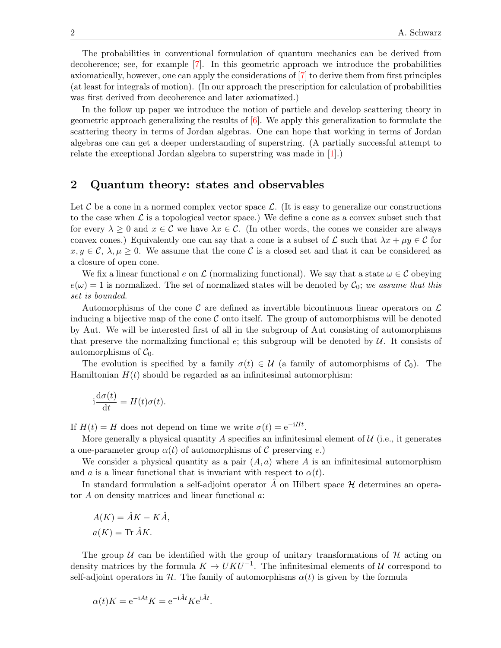The probabilities in conventional formulation of quantum mechanics can be derived from decoherence; see, for example [\[7\]](#page-2-8). In this geometric approach we introduce the probabilities axiomatically, however, one can apply the considerations of [\[7\]](#page-2-8) to derive them from first principles (at least for integrals of motion). (In our approach the prescription for calculation of probabilities was first derived from decoherence and later axiomatized.)

In the follow up paper we introduce the notion of particle and develop scattering theory in geometric approach generalizing the results of  $[6]$ . We apply this generalization to formulate the scattering theory in terms of Jordan algebras. One can hope that working in terms of Jordan algebras one can get a deeper understanding of superstring. (A partially successful attempt to relate the exceptional Jordan algebra to superstring was made in [\[1\]](#page-2-10).)

### 2 Quantum theory: states and observables

Let C be a cone in a normed complex vector space  $\mathcal{L}$ . (It is easy to generalize our constructions to the case when  $\mathcal L$  is a topological vector space.) We define a cone as a convex subset such that for every  $\lambda \geq 0$  and  $x \in \mathcal{C}$  we have  $\lambda x \in \mathcal{C}$ . (In other words, the cones we consider are always convex cones.) Equivalently one can say that a cone is a subset of  $\mathcal L$  such that  $\lambda x + \mu y \in \mathcal C$  for  $x, y \in \mathcal{C}, \lambda, \mu \geq 0$ . We assume that the cone C is a closed set and that it can be considered as a closure of open cone.

We fix a linear functional e on  $\mathcal L$  (normalizing functional). We say that a state  $\omega \in \mathcal C$  obeying  $e(\omega) = 1$  is normalized. The set of normalized states will be denoted by  $\mathcal{C}_0$ ; we assume that this set is bounded.

Automorphisms of the cone C are defined as invertible bicontinuous linear operators on  $\mathcal L$ inducing a bijective map of the cone  $\mathcal C$  onto itself. The group of automorphisms will be denoted by Aut. We will be interested first of all in the subgroup of Aut consisting of automorphisms that preserve the normalizing functional  $e$ ; this subgroup will be denoted by  $U$ . It consists of automorphisms of  $C_0$ .

The evolution is specified by a family  $\sigma(t) \in \mathcal{U}$  (a family of automorphisms of  $\mathcal{C}_0$ ). The Hamiltonian  $H(t)$  should be regarded as an infinitesimal automorphism:

$$
i\frac{d\sigma(t)}{dt} = H(t)\sigma(t).
$$

If  $H(t) = H$  does not depend on time we write  $\sigma(t) = e^{-iHt}$ .

More generally a physical quantity A specifies an infinitesimal element of  $\mathcal{U}$  (i.e., it generates a one-parameter group  $\alpha(t)$  of automorphisms of C preserving e.)

We consider a physical quantity as a pair  $(A, a)$  where A is an infinitesimal automorphism and a is a linear functional that is invariant with respect to  $\alpha(t)$ .

In standard formulation a self-adjoint operator  $\tilde{A}$  on Hilbert space  $\mathcal H$  determines an operator  $A$  on density matrices and linear functional  $a$ :

$$
A(K) = \hat{A}K - K\hat{A},
$$
  

$$
a(K) = \text{Tr}\,\hat{A}K.
$$

The group U can be identified with the group of unitary transformations of H acting on density matrices by the formula  $K \to UKU^{-1}$ . The infinitesimal elements of U correspond to self-adjoint operators in H. The family of automorphisms  $\alpha(t)$  is given by the formula

$$
\alpha(t)K = e^{-iAt}K = e^{-i\hat{A}t}Ke^{i\hat{A}t}.
$$